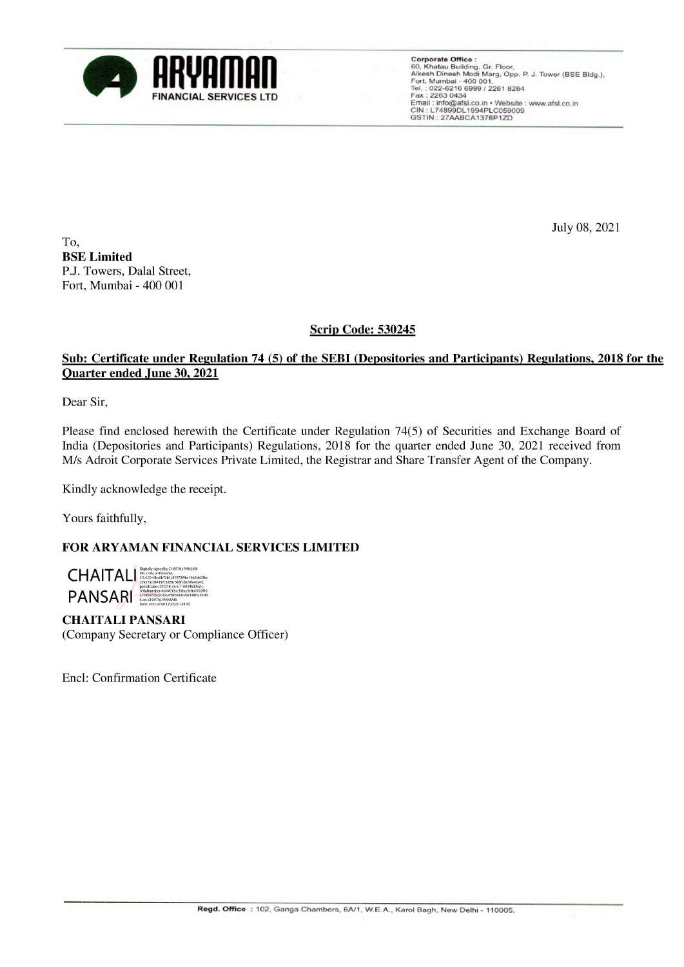

FINANCIAL SERVICES LTD<br>
FINANCIAL SERVICES LTD<br>
FINANCIAL SERVICES LTD<br>
FINANCIAL SERVICES LTD<br>
FINANCIAL SERVICES LTD<br>
FINANCIAL SERVICES LTD<br>
FINANCIAL SERVICES LTD<br>
FINANCIAL SERVICES LTD<br>
FINANCIAL SERVICES LTD<br>
FINANC CIN : L74899DL1994PLC059009 GSTIN : 2744ABCA1376P12D

July 08, 2021

To, BSE Limited P.J. Towers, Dalal Street, Fort, Mumbai - 400 001

## Scrip Code: 530245

## Sub: Certificate under Regulation 74 (5) of the SEBI (Depositories and Participants) Regulations, 2018 for the Quarter ended June 30, 2021

Dear Sir,

Please find enclosed herewith the Certificate under Regulation 74(5) of Securities and Exchange Board of India (Depositories and Participants) Regulations, 2018 for the quarter ended June 30, 2021 received from M/s Adroit Corporate Services Private Limited, the Registrar and Share Transfer Agent of the Company. Sub: Certificate under Regulation 74 (S) of the SEBI (Depositories and Participant<br>Ouarrer ended June 30, 2021<br>Dear Sir,<br>Wesse find enclosed herewith the Certificate under Regulation 74(5) of Securities and<br>Mindi (Deposito

Kindly acknowledge the receipt.

Yours faithfully,

## FOR ARYAMAN FINANCIAL SERVICES LIMITED



CHAITALI PANSARI (Company Secretary or Compliance Officer)

Encl: Confirmation Certificate